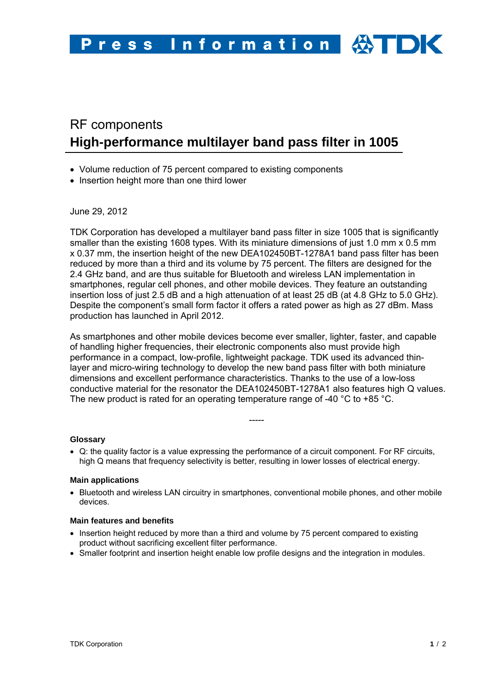# RF components **High-performance multilayer band pass filter in 1005**

- Volume reduction of 75 percent compared to existing components
- Insertion height more than one third lower

June 29, 2012

TDK Corporation has developed a multilayer band pass filter in size 1005 that is significantly smaller than the existing 1608 types. With its miniature dimensions of just 1.0 mm x 0.5 mm x 0.37 mm, the insertion height of the new DEA102450BT-1278A1 band pass filter has been reduced by more than a third and its volume by 75 percent. The filters are designed for the 2.4 GHz band, and are thus suitable for Bluetooth and wireless LAN implementation in smartphones, regular cell phones, and other mobile devices. They feature an outstanding insertion loss of just 2.5 dB and a high attenuation of at least 25 dB (at 4.8 GHz to 5.0 GHz). Despite the component's small form factor it offers a rated power as high as 27 dBm. Mass production has launched in April 2012.

As smartphones and other mobile devices become ever smaller, lighter, faster, and capable of handling higher frequencies, their electronic components also must provide high performance in a compact, low-profile, lightweight package. TDK used its advanced thinlayer and micro-wiring technology to develop the new band pass filter with both miniature dimensions and excellent performance characteristics. Thanks to the use of a low-loss conductive material for the resonator the DEA102450BT-1278A1 also features high Q values. The new product is rated for an operating temperature range of -40  $^{\circ}$ C to +85  $^{\circ}$ C.

-----

## **Glossary**

• Q: the quality factor is a value expressing the performance of a circuit component. For RF circuits, high Q means that frequency selectivity is better, resulting in lower losses of electrical energy.

#### **Main applications**

• Bluetooth and wireless LAN circuitry in smartphones, conventional mobile phones, and other mobile devices.

#### **Main features and benefits**

- Insertion height reduced by more than a third and volume by 75 percent compared to existing product without sacrificing excellent filter performance.
- Smaller footprint and insertion height enable low profile designs and the integration in modules.